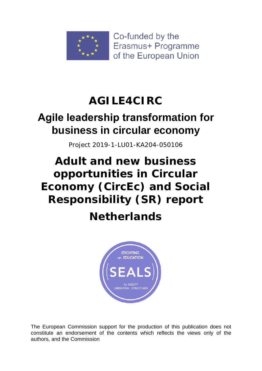

Co-funded by the Erasmus+ Programme of the European Union

# **AGILE4CIRC**

## **Αgile leadership transformation for business in circular economy**

Project 2019-1-LU01-KA204-050106

# **Adult and new business opportunities in Circular Economy (CircEc) and Social Responsibility (SR) report**

# **Netherlands**



The European Commission support for the production of this publication does not constitute an endorsement of the contents which reflects the views only of the authors, and the Commission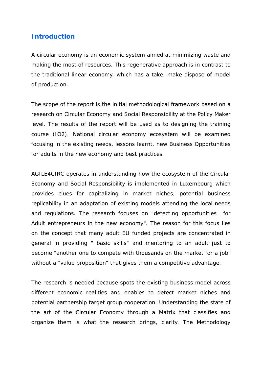#### **Introduction**

A circular economy is an economic system aimed at minimizing waste and making the most of resources. This regenerative approach is in contrast to the traditional linear economy, which has a take, make dispose of model of production.

The scope of the report is the initial methodological framework based on a research on Circular Economy and Social Responsibility at the Policy Maker level. The results of the report will be used as to designing the training course (IO2). National circular economy ecosystem will be examined focusing in the existing needs, lessons learnt, new Business Opportunities for adults in the new economy and best practices.

AGILE4CIRC operates in understanding how the ecosystem of the Circular Economy and Social Responsibility is implemented in Luxembourg which provides clues for capitalizing in market niches, potential business replicability in an adaptation of existing models attending the local needs and regulations. The research focuses on "detecting opportunities for Adult entrepreneurs in the new economy". The reason for this focus lies on the concept that many adult EU funded projects are concentrated in general in providing " basic skills" and mentoring to an adult just to become "another one to compete with thousands on the market for a job" without a "value proposition" that gives them a competitive advantage.

The research is needed because spots the existing business model across different economic realities and enables to detect market niches and potential partnership target group cooperation. Understanding the state of the art of the Circular Economy through a Matrix that classifies and organize them is what the research brings, clarity. The Methodology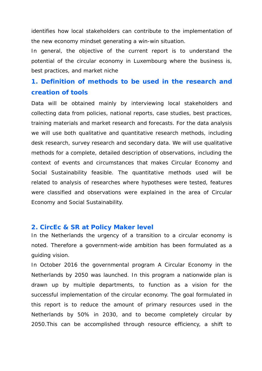identifies how local stakeholders can contribute to the implementation of the new economy mindset generating a win-win situation.

In general, the objective of the current report is to understand the potential of the circular economy in Luxembourg where the business is, best practices, and market niche

## **1. Definition of methods to be used in the research and creation of tools**

Data will be obtained mainly by interviewing local stakeholders and collecting data from policies, national reports, case studies, best practices, training materials and market research and forecasts. For the data analysis we will use both qualitative and quantitative research methods, including desk research, survey research and secondary data. We will use qualitative methods for a complete, detailed description of observations, including the context of events and circumstances that makes Circular Economy and Social Sustainability feasible. The quantitative methods used will be related to analysis of researches where hypotheses were tested, features were classified and observations were explained in the area of Circular Economy and Social Sustainability.

#### **2. CircEc & SR at Policy Maker level**

In the Netherlands the urgency of a transition to a circular economy is noted. Therefore a government-wide ambition has been formulated as a guiding vision.

In October 2016 the governmental program A Circular Economy in the Netherlands by 2050 was launched. In this program a nationwide plan is drawn up by multiple departments, to function as a vision for the successful implementation of the circular economy. The goal formulated in this report is to reduce the amount of primary resources used in the Netherlands by 50% in 2030, and to become completely circular by 2050.This can be accomplished through resource efficiency, a shift to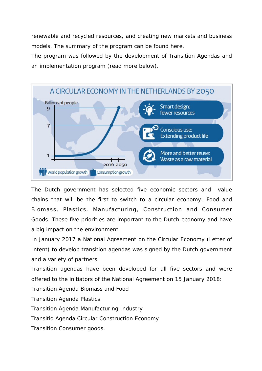renewable and recycled resources, and creating new markets and business models. The summary of the program can be found here.

The program was followed by the development of Transition Agendas and an implementation program (read more below).



The Dutch government has selected five economic sectors and value chains that will be the first to switch to a circular economy: Food and Biomass, Plastics, Manufacturing, Construction and Consumer Goods. These five priorities are important to the Dutch economy and have a big impact on the environment.

In January 2017 a National Agreement on the Circular Economy (Letter of Intent) to develop transition agendas was signed by the Dutch government and a variety of partners.

Transition agendas have been developed for all five sectors and were offered to the initiators of the National Agreement on 15 January 2018:

Transition Agenda Biomass and Food

Transition Agenda Plastics

Transition Agenda Manufacturing Industry

Transitio Agenda Circular Construction Economy

Transition Consumer goods.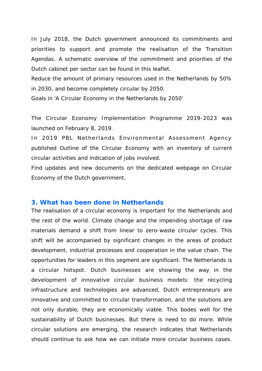In July 2018, the Dutch government announced its commitments and priorities to support and promote the realisation of the Transition Agendas. A schematic overview of the commitment and priorities of the Dutch cabinet per sector can be found in this leaflet.

Reduce the amount of primary resources used in the Netherlands by 50% in 2030, and become completely circular by 2050.

Goals in 'A Circular Economy in the Netherlands by 2050'

The Circular Economy Implementation Programme 2019-2023 was launched on February 8, 2019.

In 2019 PBL Netherlands Environmental Assessment Agency published Outline of the Circular Economy with an inventory of current circular activities and indication of jobs involved.

Find updates and new documents on the dedicated webpage on Circular Economy of the Dutch government.

#### **3. What has been done in Netherlands**

The realisation of a circular economy is important for the Netherlands and the rest of the world. Climate change and the impending shortage of raw materials demand a shift from linear to zero-waste circular cycles. This shift will be accompanied by significant changes in the areas of product development, industrial processes and cooperation in the value chain. The opportunities for leaders in this segment are significant. The Netherlands is a circular hotspot. Dutch businesses are showing the way in the development of innovative circular business models: the recycling infrastructure and technologies are advanced, Dutch entrepreneurs are innovative and committed to circular transformation, and the solutions are not only durable, they are economically viable. This bodes well for the sustainability of Dutch businesses. But there is need to do more. While circular solutions are emerging, the research indicates that Netherlands should continue to ask how we can initiate more circular business cases.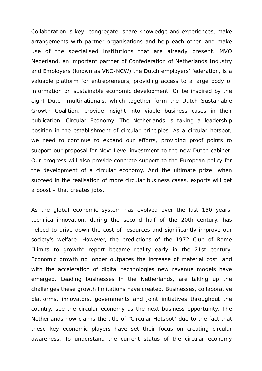Collaboration is key: congregate, share knowledge and experiences, make arrangements with partner organisations and help each other, and make use of the specialised institutions that are already present. MVO Nederland, an important partner of Confederation of Netherlands Industry and Employers (known as VNO-NCW) the Dutch employers' federation, is a valuable platform for entrepreneurs, providing access to a large body of information on sustainable economic development. Or be inspired by the eight Dutch multinationals, which together form the Dutch Sustainable Growth Coalition, provide insight into viable business cases in their publication, Circular Economy. The Netherlands is taking a leadership position in the establishment of circular principles. As a circular hotspot, we need to continue to expand our efforts, providing proof points to support our proposal for Next Level investment to the new Dutch cabinet. Our progress will also provide concrete support to the European policy for the development of a circular economy. And the ultimate prize: when succeed in the realisation of more circular business cases, exports will get a boost – that creates jobs.

As the global economic system has evolved over the last 150 years, technical innovation, during the second half of the 20th century, has helped to drive down the cost of resources and significantly improve our society's welfare. However, the predictions of the 1972 Club of Rome "Limits to growth" report became reality early in the 21st century. Economic growth no longer outpaces the increase of material cost, and with the acceleration of digital technologies new revenue models have emerged. Leading businesses in the Netherlands, are taking up the challenges these growth limitations have created. Businesses, collaborative platforms, innovators, governments and joint initiatives throughout the country, see the circular economy as the next business opportunity. The Netherlands now claims the title of "Circular Hotspot" due to the fact that these key economic players have set their focus on creating circular awareness. To understand the current status of the circular economy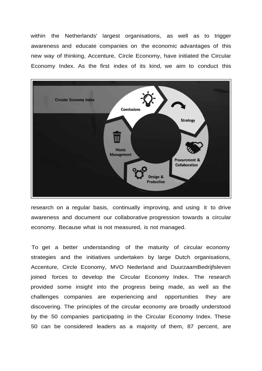within the Netherlands' largest organisations, as well as to trigger awareness and educate companies on the economic advantages of this new way of thinking, Accenture, Circle Economy, have initiated the Circular Economy Index. As the first index of its kind, we aim to conduct this



research on a regular basis, continually improving, and using it to drive awareness and document our collaborative progression towards a circular economy. Because what is not measured, is not managed.

To get a better understanding of the maturity of circular economy strategies and the initiatives undertaken by large Dutch organisations, Accenture, Circle Economy, MVO Nederland and DuurzaamBedrijfsleven joined forces to develop the Circular Economy Index. The research provided some insight into the progress being made, as well as the challenges companies are experiencing and opportunities they are discovering. The principles of the circular economy are broadly understood by the 50 companies participating in the Circular Economy Index. These 50 can be considered leaders as a majority of them, 87 percent, are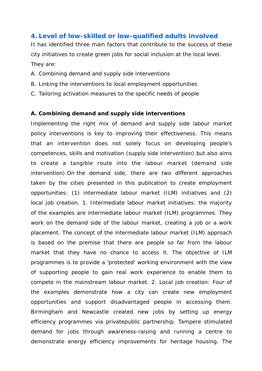#### **4. Level of low-skilled or low-qualified adults involved**

It has identified three main factors that contribute to the success of these city initiatives to create green jobs for social inclusion at the local level. They are:

- A. Combining demand and supply side interventions
- B. Linking the interventions to local employment opportunities
- C. Tailoring activation measures to the specific needs of people

#### **A. Combining demand and supply side interventions**

Implementing the right mix of demand and supply side labour market policy interventions is key to improving their effectiveness. This means that an intervention does not solely focus on developing people's competences, skills and motivation (supply side intervention) but also aims to create a tangible route into the labour market (demand side intervention).On the demand side, there are two different approaches taken by the cities presented in this publication to create employment opportunities: (1) intermediate labour market (ILM) initiatives and (2) local job creation. 1. Intermediate labour market initiatives: the majority of the examples are intermediate labour market (ILM) programmes. They work on the demand side of the labour market, creating a job or a work placement. The concept of the intermediate labour market (ILM) approach is based on the premise that there are people so far from the labour market that they have no chance to access it. The objective of ILM programmes is to provide a 'protected' working environment with the view of supporting people to gain real work experience to enable them to compete in the mainstream labour market. 2. Local job creation: Four of the examples demonstrate how a city can create new employment opportunities and support disadvantaged people in accessing them. Birmingham and Newcastle created new jobs by setting up energy efficiency programmes via privatepublic partnership. Tampere stimulated demand for jobs through awareness-raising and running a centre to demonstrate energy efficiency improvements for heritage housing. The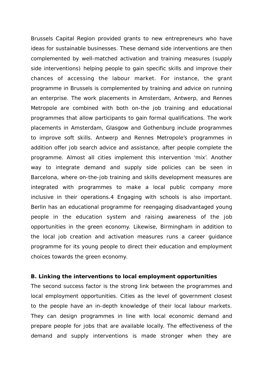Brussels Capital Region provided grants to new entrepreneurs who have ideas for sustainable businesses. These demand side interventions are then complemented by well-matched activation and training measures (supply side interventions) helping people to gain specific skills and improve their chances of accessing the labour market. For instance, the grant programme in Brussels is complemented by training and advice on running an enterprise. The work placements in Amsterdam, Antwerp, and Rennes Metropole are combined with both on-the job training and educational programmes that allow participants to gain formal qualifications. The work placements in Amsterdam, Glasgow and Gothenburg include programmes to improve soft skills. Antwerp and Rennes Metropole's programmes in addition offer job search advice and assistance, after people complete the programme. Almost all cities implement this intervention 'mix'. Another way to integrate demand and supply side policies can be seen in Barcelona, where on-the-job training and skills development measures are integrated with programmes to make a local public company more inclusive in their operations.4 Engaging with schools is also important. Berlin has an educational programme for reengaging disadvantaged young people in the education system and raising awareness of the job opportunities in the green economy. Likewise, Birmingham in addition to the local job creation and activation measures runs a career guidance programme for its young people to direct their education and employment choices towards the green economy.

#### **B. Linking the interventions to local employment opportunities**

The second success factor is the strong link between the programmes and local employment opportunities. Cities as the level of government closest to the people have an in-depth knowledge of their local labour markets. They can design programmes in line with local economic demand and prepare people for jobs that are available locally. The effectiveness of the demand and supply interventions is made stronger when they are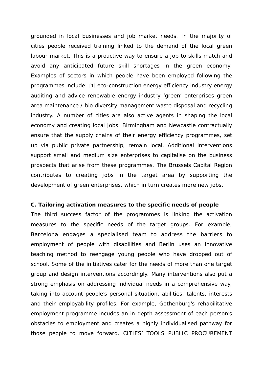grounded in local businesses and job market needs. In the majority of cities people received training linked to the demand of the local green labour market. This is a proactive way to ensure a job to skills match and avoid any anticipated future skill shortages in the green economy. Examples of sectors in which people have been employed following the programmes include: [1] eco-construction energy efficiency industry energy auditing and advice renewable energy industry 'green' enterprises green area maintenance / bio diversity management waste disposal and recycling industry. A number of cities are also active agents in shaping the local economy and creating local jobs. Birmingham and Newcastle contractually ensure that the supply chains of their energy efficiency programmes, set up via public private partnership, remain local. Additional interventions support small and medium size enterprises to capitalise on the business prospects that arise from these programmes. The Brussels Capital Region contributes to creating jobs in the target area by supporting the development of green enterprises, which in turn creates more new jobs.

#### **C. Tailoring activation measures to the specific needs of people**

The third success factor of the programmes is linking the activation measures to the specific needs of the target groups. For example, Barcelona engages a specialised team to address the barriers to employment of people with disabilities and Berlin uses an innovative teaching method to reengage young people who have dropped out of school. Some of the initiatives cater for the needs of more than one target group and design interventions accordingly. Many interventions also put a strong emphasis on addressing individual needs in a comprehensive way, taking into account people's personal situation, abilities, talents, interests and their employability profiles. For example, Gothenburg's rehabilitative employment programme incudes an in-depth assessment of each person's obstacles to employment and creates a highly individualised pathway for those people to move forward. CITIES' TOOLS PUBLIC PROCUREMENT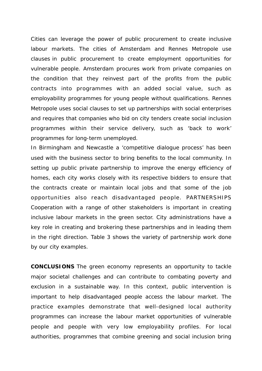Cities can leverage the power of public procurement to create inclusive labour markets. The cities of Amsterdam and Rennes Metropole use clauses in public procurement to create employment opportunities for vulnerable people. Amsterdam procures work from private companies on the condition that they reinvest part of the profits from the public contracts into programmes with an added social value, such as employability programmes for young people without qualifications. Rennes Metropole uses social clauses to set up partnerships with social enterprises and requires that companies who bid on city tenders create social inclusion programmes within their service delivery, such as 'back to work' programmes for long-term unemployed.

In Birmingham and Newcastle a 'competitive dialogue process' has been used with the business sector to bring benefits to the local community. In setting up public private partnership to improve the energy efficiency of homes, each city works closely with its respective bidders to ensure that the contracts create or maintain local jobs and that some of the job opportunities also reach disadvantaged people. PARTNERSHIPS Cooperation with a range of other stakeholders is important in creating inclusive labour markets in the green sector. City administrations have a key role in creating and brokering these partnerships and in leading them in the right direction. Table 3 shows the variety of partnership work done by our city examples.

**CONCLUSIONS** The green economy represents an opportunity to tackle major societal challenges and can contribute to combating poverty and exclusion in a sustainable way. In this context, public intervention is important to help disadvantaged people access the labour market. The practice examples demonstrate that well-designed local authority programmes can increase the labour market opportunities of vulnerable people and people with very low employability profiles. For local authorities, programmes that combine greening and social inclusion bring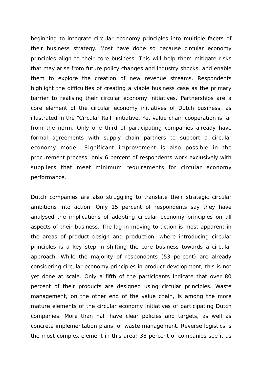beginning to integrate circular economy principles into multiple facets of their business strategy. Most have done so because circular economy principles align to their core business. This will help them mitigate risks that may arise from future policy changes and industry shocks, and enable them to explore the creation of new revenue streams. Respondents highlight the difficulties of creating a viable business case as the primary barrier to realising their circular economy initiatives. Partnerships are a core element of the circular economy initiatives of Dutch business, as illustrated in the "Circular Rail" initiative. Yet value chain cooperation is far from the norm. Only one third of participating companies already have formal agreements with supply chain partners to support a circular economy model. Significant improvement is also possible in the procurement process: only 6 percent of respondents work exclusively with suppliers that meet minimum requirements for circular economy performance.

Dutch companies are also struggling to translate their strategic circular ambitions into action. Only 15 percent of respondents say they have analysed the implications of adopting circular economy principles on all aspects of their business. The lag in moving to action is most apparent in the areas of product design and production, where introducing circular principles is a key step in shifting the core business towards a circular approach. While the majority of respondents (53 percent) are already considering circular economy principles in product development, this is not yet done at scale. Only a fifth of the participants indicate that over 80 percent of their products are designed using circular principles. Waste management, on the other end of the value chain, is among the more mature elements of the circular economy initiatives of participating Dutch companies. More than half have clear policies and targets, as well as concrete implementation plans for waste management. Reverse logistics is the most complex element in this area: 38 percent of companies see it as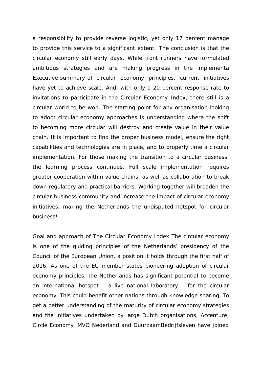a responsibility to provide reverse logistic, yet only 17 percent manage to provide this service to a significant extent. The conclusion is that the circular economy still early days. While front runners have formulated ambitious strategies and are making progress in the implementa Executive summary of circular economy principles, current initiatives have yet to achieve scale. And, with only a 20 percent response rate to invitations to participate in the Circular Economy Index, there still is a circular world to be won. The starting point for any organisation looking to adopt circular economy approaches is understanding where the shift to becoming more circular will destroy and create value in their value chain. It is important to find the proper business model, ensure the right capabilities and technologies are in place, and to properly time a circular implementation. For those making the transition to a circular business, the learning process continues. Full scale implementation requires greater cooperation within value chains, as well as collaboration to break down regulatory and practical barriers. Working together will broaden the circular business community and increase the impact of circular economy initiatives, making the Netherlands the undisputed hotspot for circular business!

Goal and approach of The Circular Economy Index The circular economy is one of the guiding principles of the Netherlands' presidency of the Council of the European Union, a position it holds through the first half of 2016. As one of the EU member states pioneering adoption of circular economy principles, the Netherlands has significant potential to become an international hotspot – a live national laboratory – for the circular economy. This could benefit other nations through knowledge sharing. To get a better understanding of the maturity of circular economy strategies and the initiatives undertaken by large Dutch organisations, Accenture, Circle Economy, MVO Nederland and DuurzaamBedrijfsleven have joined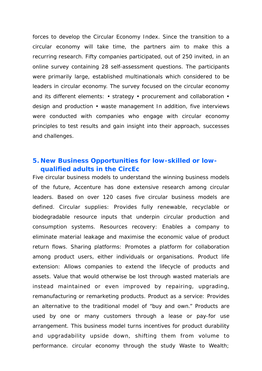forces to develop the Circular Economy Index. Since the transition to a circular economy will take time, the partners aim to make this a recurring research. Fifty companies participated, out of 250 invited, in an online survey containing 28 self-assessment questions. The participants were primarily large, established multinationals which considered to be leaders in circular economy. The survey focused on the circular economy and its different elements: • strategy • procurement and collaboration • design and production • waste management In addition, five interviews were conducted with companies who engage with circular economy principles to test results and gain insight into their approach, successes and challenges.

### **5. New Business Opportunities for low-skilled or lowqualified adults in the CircEc**

Five circular business models to understand the winning business models of the future, Accenture has done extensive research among circular leaders. Based on over 120 cases five circular business models are defined. Circular supplies: Provides fully renewable, recyclable or biodegradable resource inputs that underpin circular production and consumption systems. Resources recovery: Enables a company to eliminate material leakage and maximise the economic value of product return flows. Sharing platforms: Promotes a platform for collaboration among product users, either individuals or organisations. Product life extension: Allows companies to extend the lifecycle of products and assets. Value that would otherwise be lost through wasted materials are instead maintained or even improved by repairing, upgrading, remanufacturing or remarketing products. Product as a service: Provides an alternative to the traditional model of "buy and own." Products are used by one or many customers through a lease or pay-for use arrangement. This business model turns incentives for product durability and upgradability upside down, shifting them from volume to performance. circular economy through the study Waste to Wealth;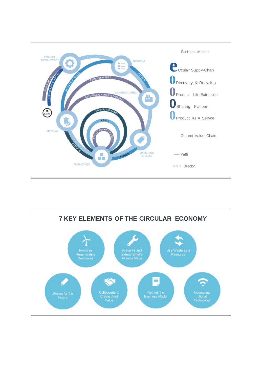

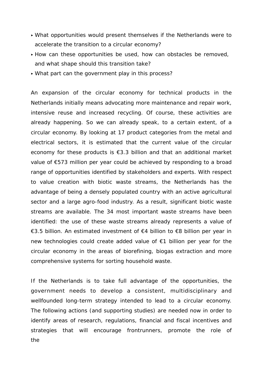- ‣ What opportunities would present themselves if the Netherlands were to accelerate the transition to a circular economy?
- ‣ How can these opportunities be used, how can obstacles be removed, and what shape should this transition take?
- ‣ What part can the government play in this process?

An expansion of the circular economy for technical products in the Netherlands initially means advocating more maintenance and repair work, intensive reuse and increased recycling. Of course, these activities are already happening. So we can already speak, to a certain extent, of a circular economy. By looking at 17 product categories from the metal and electrical sectors, it is estimated that the current value of the circular economy for these products is  $\epsilon$ 3.3 billion and that an additional market value of €573 million per year could be achieved by responding to a broad range of opportunities identified by stakeholders and experts. With respect to value creation with biotic waste streams, the Netherlands has the advantage of being a densely populated country with an active agricultural sector and a large agro-food industry. As a result, significant biotic waste streams are available. The 34 most important waste streams have been identified: the use of these waste streams already represents a value of €3.5 billion. An estimated investment of €4 billion to €8 billion per year in new technologies could create added value of €1 billion per year for the circular economy in the areas of biorefining, biogas extraction and more comprehensive systems for sorting household waste.

If the Netherlands is to take full advantage of the opportunities, the government needs to develop a consistent, multidisciplinary and wellfounded long-term strategy intended to lead to a circular economy. The following actions (and supporting studies) are needed now in order to identify areas of research, regulations, financial and fiscal incentives and strategies that will encourage frontrunners, promote the role of the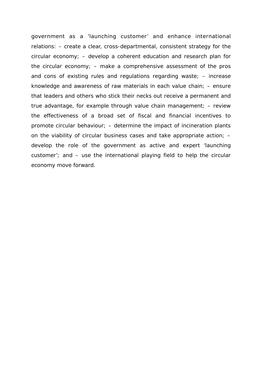government as a 'launching customer' and enhance international relations: – create a clear, cross-departmental, consistent strategy for the circular economy; – develop a coherent education and research plan for the circular economy; – make a comprehensive assessment of the pros and cons of existing rules and regulations regarding waste; – increase knowledge and awareness of raw materials in each value chain; – ensure that leaders and others who stick their necks out receive a permanent and true advantage, for example through value chain management; – review the effectiveness of a broad set of fiscal and financial incentives to promote circular behaviour; – determine the impact of incineration plants on the viability of circular business cases and take appropriate action; – develop the role of the government as active and expert 'launching customer'; and – use the international playing field to help the circular economy move forward.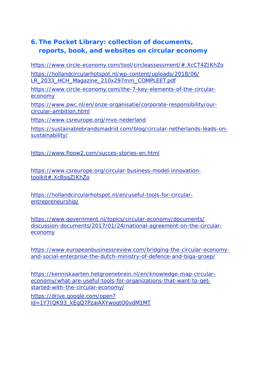## **6. The Pocket Library: collection of documents, reports, book, and websites on circular economy**

https:/[/www.circle-economy.com/tool/circleassessment/#.XcCT4ZJKhZo](http://www.circle-economy.com/tool/circleassessment/#.XcCT4ZJKhZo)

https://hollandcircularhotspot.nl/wp-content/uploads/2018/06/ LR\_2033\_HCH\_Magazine\_210x297mm\_COMPLEET.pdf

https:/[/www.circle-economy.com/the-7-key-elements-of-the-circular](http://www.circle-economy.com/the-7-key-elements-of-the-circular-)economy

https:/[/www.pwc.nl/en/onze-organisatie/corporate-responsibility/our](http://www.pwc.nl/en/onze-organisatie/corporate-responsibility/our-)circular-ambition.html

https:/[/www.csreurope.org/mvo-nederland](http://www.csreurope.org/mvo-nederland)

https://sustainablebrandsmadrid.com/blog/circular-netherlands-leads-onsustainability/

https:/[/www.floow2.com/succes-stories-en.html](http://www.floow2.com/succes-stories-en.html)

https:/[/www.csreurope.org/circular-business-model-innovation](http://www.csreurope.org/circular-business-model-innovation-)toolkit#.XcBsqZJKhZo

https://hollandcircularhotspot.nl/en/useful-tools-for-circularentrepreneurship/

https:/[/www.government.nl/topics/circular-economy/documents/](http://www.government.nl/topics/circular-economy/documents/) discussion-documents/2017/01/24/national-agreement-on-the-circulareconomy

https:/[/www.europeanbusinessreview.com/bridging-the-circular-economy](http://www.europeanbusinessreview.com/bridging-the-circular-economy-)and-social-enterprise-the-dutch-ministry-of-defence-and-biga-groep/

https://kenniskaarten.hetgroenebrein.nl/en/knowledge-map-circulareconomy/what-are-useful-tools-for-organizations-that-want-to-getstarted-with-the-circular-economy/

https://drive.google.com/open? id=1Y7IQK93\_kEgQ7PzaiAXYwogtO0vdM1MT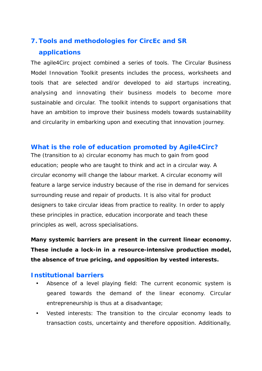## **7. Tools and methodologies for CircEc and SR applications**

The agile4Circ project combined a series of tools. The Circular Business Model Innovation Toolkit presents includes the process, worksheets and tools that are selected and/or developed to aid startups increating, analysing and innovating their business models to become more sustainable and circular. The toolkit intends to support organisations that have an ambition to improve their business models towards sustainability and circularity in embarking upon and executing that innovation journey.

#### **What is the role of education promoted by Agile4Circ?**

The (transition to a) circular economy has much to gain from good education; people who are taught to think and act in a circular way. A circular economy will change the labour market. A circular economy will feature a large service industry because of the rise in demand for services surrounding reuse and repair of products. It is also vital for product designers to take circular ideas from practice to reality. In order to apply these principles in practice, education incorporate and teach these principles as well, across specialisations.

**Many systemic barriers are present in the current linear economy. These include a lock-in in a resource-intensive production model, the absence of true pricing, and opposition by vested interests.**

#### **Institutional barriers**

- *Absence of a level playing field*: The current economic system is geared towards the demand of the linear economy. Circular entrepreneurship is thus at a disadvantage;
- *Vested interests*: The transition to the circular economy leads to transaction costs, uncertainty and therefore opposition. Additionally,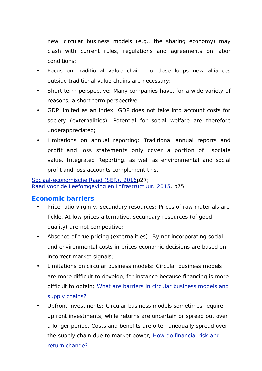new, circular business models (e.g., the sharing economy) may clash with current rules, regulations and agreements on labor conditions;

- *Focus on traditional value chain*: To close loops new alliances outside traditional value chains are necessary;
- *Short term perspective*: Many companies have, for a wide variety of reasons, a short term perspective;
- *GDP limited as an index*: GDP does not take into account costs for society (externalities). Potential for social welfare are therefore underappreciated;
- *Limitations on annual reporting*: Traditional annual reports and profit and loss statements only cover a portion of sociale value. *Integrated Reporting*, as well as environmental and social profit and loss accounts complement this.

*Sociaal-economische Raad (SER), 2016p27; Raad voor de Leefomgeving en Infrastructuur. 2015, p75.*

### **Economic barriers**

- *Price ratio virgin v. secundary resources*: Prices of raw materials are fickle. At low prices alternative, secundary resources (of good quality) are not competitive;
- *Absence of true pricing (externalities)*: By not incorporating social and environmental costs in prices economic decisions are based on incorrect market signals;
- *Limitations on circular business models*: Circular business models are more difficult to develop, for instance because financing is more difficult to obtain; What are barriers in circular business models and supply chains?
- *Upfront investments*: Circular business models sometimes require upfront investments, while returns are uncertain or spread out over a longer period. Costs and benefits are often unequally spread over the supply chain due to market power; How do financial risk and return change?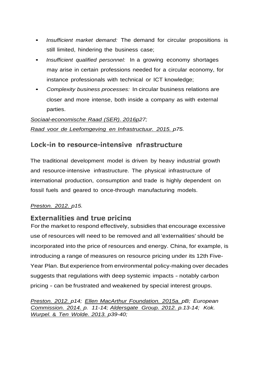- *Insufficient market demand:* The demand for circular propositions is still limited, hindering the business case;
- *Insufficient qualified personnel:* In a growing economy shortages may arise in certain professions needed for a circular economy, for instance professionals with technical or ICT knowledge;
- *Complexity business processes:* In circular business relations are closer and more intense, both inside a company as with external parties.

## *Sociaal-economische Raad (SER). 2016p27; Raad voor de Leefomgeving en Infrastructuur. 2015. p75.*

## Lock-in to resource-intensive nfrastructure

The traditional development model is driven by heavy industrial growth and resource-intensive infrastructure. The physical infrastructure of international production, consumption and trade is highly dependent on fossil fuels and geared to once-through manufacturing models.

#### *Preston. 2012. p15.*

### **Externalities and true pricing**

For the market to respond effectively, subsidies that encourage excessive use of resources will need to be removed and all 'externalities' should be incorporated into the price of resources and energy. China, for example, is introducing a range of measures on resource pricing under its 12th Five-Year Plan. But experience from environmental policy-making over decades suggests that regulations with deep systemic impacts - notably carbon pricing - can be frustrated and weakened by special interest groups.

*Preston. 2012. p14; Ellen MacArthur Foundation. 2015a. pB; European Commission. 2014. p. 11-14; Aldersgate Group. 2012. p.13-14; Kok. Wurpel.* & *Ten Wolde. 2013. p39-40;*